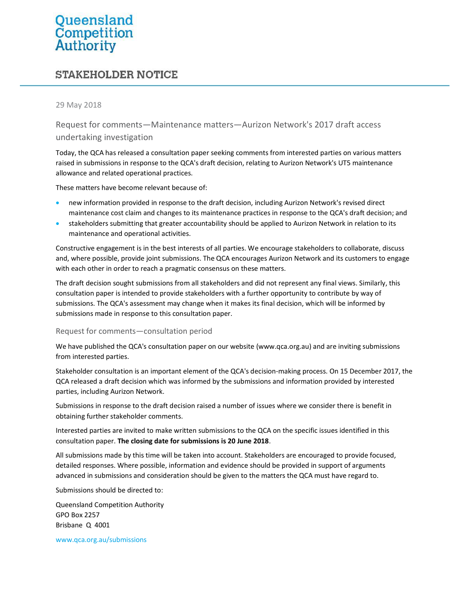# Queensland<br>Competition<br>Authority

# **STAKEHOLDER NOTICE**

#### 29 May 2018

Request for comments—Maintenance matters—Aurizon Network's 2017 draft access undertaking investigation

Today, the QCA has released a consultation paper seeking comments from interested parties on various matters raised in submissions in response to the QCA's draft decision, relating to Aurizon Network's UT5 maintenance allowance and related operational practices.

These matters have become relevant because of:

- new information provided in response to the draft decision, including Aurizon Network's revised direct maintenance cost claim and changes to its maintenance practices in response to the QCA's draft decision; and
- stakeholders submitting that greater accountability should be applied to Aurizon Network in relation to its maintenance and operational activities.

Constructive engagement is in the best interests of all parties. We encourage stakeholders to collaborate, discuss and, where possible, provide joint submissions. The QCA encourages Aurizon Network and its customers to engage with each other in order to reach a pragmatic consensus on these matters.

The draft decision sought submissions from all stakeholders and did not represent any final views. Similarly, this consultation paper is intended to provide stakeholders with a further opportunity to contribute by way of submissions. The QCA's assessment may change when it makes its final decision, which will be informed by submissions made in response to this consultation paper.

#### Request for comments—consultation period

We have published the QCA's consultation paper on our website (www.qca.org.au) and are inviting submissions from interested parties.

Stakeholder consultation is an important element of the QCA's decision-making process. On 15 December 2017, the QCA released a draft decision which was informed by the submissions and information provided by interested parties, including Aurizon Network.

Submissions in response to the draft decision raised a number of issues where we consider there is benefit in obtaining further stakeholder comments.

Interested parties are invited to make written submissions to the QCA on the specific issues identified in this consultation paper. The closing date for submissions is 20 June 2018.

All submissions made by this time will be taken into account. Stakeholders are encouraged to provide focused, detailed responses. Where possible, information and evidence should be provided in support of arguments advanced in submissions and consideration should be given to the matters the QCA must have regard to.

Submissions should be directed to:

Queensland Competition Authority GPO Box 2257 Brisbane Q 4001

www.qca.org.au/submissions